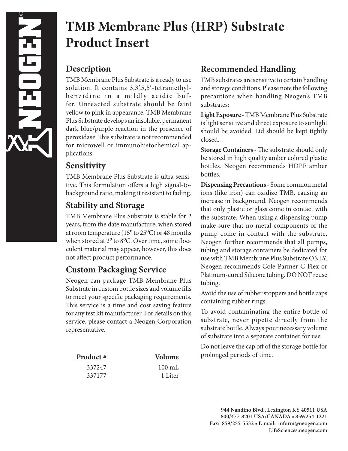# **TMB Membrane Plus (HRP) Substrate Product Insert**

#### **Description**

TMB Membrane Plus Substrate is a ready to use solution. It contains 3,3',5,5'-tetramethylbenzidine in a mildly acidic buffer. Unreacted substrate should be faint yellow to pink in appearance. TMB Membrane Plus Substrate develops an insoluble, permanent dark blue/purple reaction in the presence of peroxidase. This substrate is not recommended for microwell or immunohistochemical applications.

#### **Sensitivity**

TMB Membrane Plus Substrate is ultra sensitive. This formulation offers a high signal-tobackground ratio, making it resistant to fading.

# **Stability and Storage**

TMB Membrane Plus Substrate is stable for 2 years, from the date manufacture, when stored at room temperature (15º to 25ºC) or 48 months when stored at 2º to 8ºC. Over time, some flocculent material may appear, however, this does not affect product performance.

### **Custom Packaging Service**

Neogen can package TMB Membrane Plus Substrate in custom bottle sizes and volume fills to meet your specific packaging requirements. This service is a time and cost saving feature for any test kit manufacturer. For details on this service, please contact a Neogen Corporation representative.

| Product # | Volume           |
|-----------|------------------|
| 337247    | $100 \text{ mL}$ |
| 337177    | 1 Liter          |

## **Recommended Handling**

TMB substrates are sensitive to certain handling and storage conditions. Please note the following precautions when handling Neogen's TMB substrates:

**Light Exposure -** TMB Membrane Plus Substrate is light sensitive and direct exposure to sunlight should be avoided. Lid should be kept tightly closed.

**Storage Containers -** The substrate should only be stored in high quality amber colored plastic bottles. Neogen recommends HDPE amber bottles.

**Dispensing Precautions -** Some common metal ions (like iron) can oxidize TMB, causing an increase in background. Neogen recommends that only plastic or glass come in contact with the substrate. When using a dispensing pump make sure that no metal components of the pump come in contact with the substrate. Neogen further recommends that all pumps, tubing and storage containers be dedicated for use with TMB Membrane Plus Substrate ONLY. Neogen recommends Cole-Parmer C-Flex or Platinum-cured Silicone tubing. DO NOT reuse tubing.

Avoid the use of rubber stoppers and bottle caps containing rubber rings.

To avoid contaminating the entire bottle of substrate, never pipette directly from the substrate bottle. Always pour necessary volume of substrate into a separate container for use.

Do not leave the cap off of the storage bottle for prolonged periods of time.